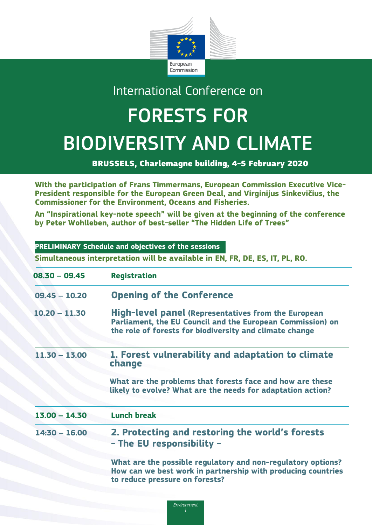

## International Conference on

## FORESTS FOR BIODIVERSITY AND CLIMATE

BRUSSELS, Charlemagne building, 4-5 February 2020

**With the participation of Frans Timmermans, European Commission Executive Vice-President responsible for the European Green Deal, and Virginijus Sinkevičius, the Commissioner for the Environment, Oceans and Fisheries.**

**An "Inspirational key-note speech" will be given at the beginning of the conference by Peter Wohlleben, author of best-seller "The Hidden Life of Trees"**

| PRELIMINARY Schedule and objectives of the sessions<br>Simultaneous interpretation will be available in EN, FR, DE, ES, IT, PL, RO.                                                 |  |  |
|-------------------------------------------------------------------------------------------------------------------------------------------------------------------------------------|--|--|
| <b>Registration</b>                                                                                                                                                                 |  |  |
| <b>Opening of the Conference</b>                                                                                                                                                    |  |  |
| <b>High-level panel (Representatives from the European</b><br>Parliament, the EU Council and the European Commission) on<br>the role of forests for biodiversity and climate change |  |  |
| 1. Forest vulnerability and adaptation to climate<br>change                                                                                                                         |  |  |
| What are the problems that forests face and how are these<br>likely to evolve? What are the needs for adaptation action?                                                            |  |  |
| <b>Lunch break</b>                                                                                                                                                                  |  |  |
| 2. Protecting and restoring the world's forests<br>- The EU responsibility -                                                                                                        |  |  |
| What are the possible regulatory and non-regulatory options?<br>How can we best work in partnership with producing countries<br>to reduce pressure on forests?                      |  |  |
|                                                                                                                                                                                     |  |  |

*Environment*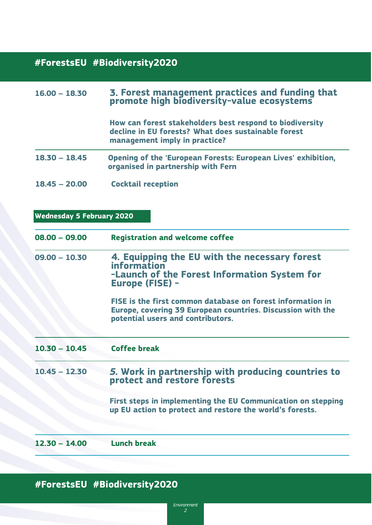## **16.00 – 16.30 Coffee break #ForestsEU #Biodiversity2020**

| $16.00 - 18.30$                  | 3. Forest management practices and funding that<br>promote high biodiversity-value ecosystems                                                                  |
|----------------------------------|----------------------------------------------------------------------------------------------------------------------------------------------------------------|
|                                  | How can forest stakeholders best respond to biodiversity<br>decline in EU forests? What does sustainable forest<br>management imply in practice?               |
| $18.30 - 18.45$                  | Opening of the 'European Forests: European Lives' exhibition,<br>organised in partnership with Fern                                                            |
| $18.45 - 20.00$                  | <b>Cocktail reception</b>                                                                                                                                      |
| <b>Wednesday 5 February 2020</b> |                                                                                                                                                                |
| $08.00 - 09.00$                  | <b>Registration and welcome coffee</b>                                                                                                                         |
| $09.00 - 10.30$                  | 4. Equipping the EU with the necessary forest<br>information<br>-Launch of the Forest Information System for<br><b>Europe (FISE) -</b>                         |
|                                  | FISE is the first common database on forest information in<br>Europe, covering 39 European countries. Discussion with the<br>potential users and contributors. |
| $10.30 - 10.45$                  | <b>Coffee break</b>                                                                                                                                            |
| $10.45 - 12.30$                  | 5. Work in partnership with producing countries to<br>protect and restore forests                                                                              |
|                                  |                                                                                                                                                                |
|                                  | First steps in implementing the EU Communication on stepping<br>up EU action to protect and restore the world's forests.                                       |

## **#ForestsEU #Biodiversity2020**

**#** 

*Environment 2*